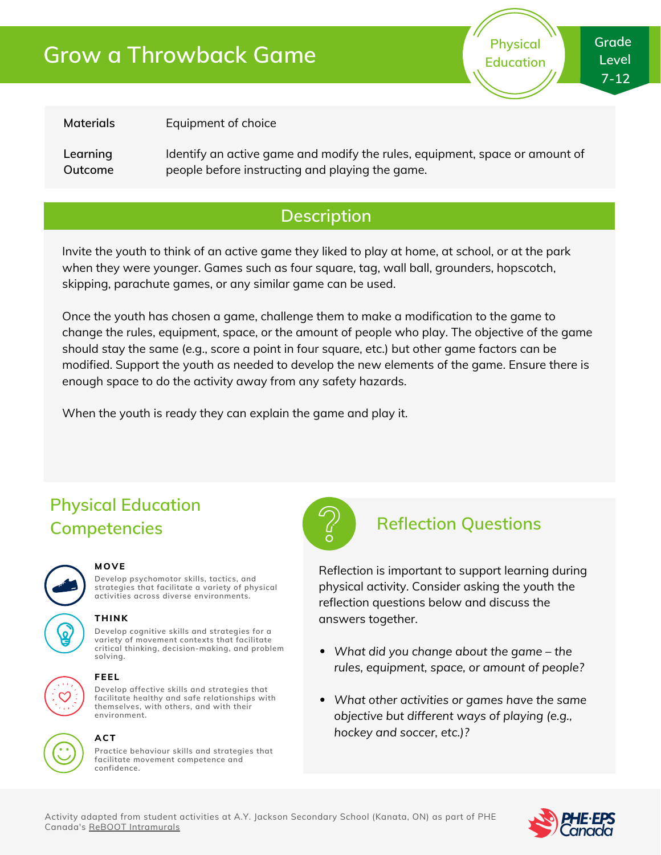# **Grow a Throwback Game**



**Materials**

Equipment of choice

**Learning Outcome** Identify an active game and modify the rules, equipment, space or amount of people before instructing and playing the game.

### **Description**

Invite the youth to think of an active game they liked to play at home, at school, or at the park when they were younger. Games such as four square, tag, wall ball, grounders, hopscotch, skipping, parachute games, or any similar game can be used.

Once the youth has chosen a game, challenge them to make a modification to the game to change the rules, equipment, space, or the amount of people who play. The objective of the game should stay the same (e.g., score a point in four square, etc.) but other game factors can be modified. Support the youth as needed to develop the new elements of the game. Ensure there is enough space to do the activity away from any safety hazards.

When the youth is ready they can explain the game and play it.

### **Physical Education Competencies Reflection Questions**



#### **MOVE**

**Develop psychomotor skills, tactics, and strategies that facilitate a variety of physical activities across diverse environments.**

### **THINK**

**Develop cognitive skills and strategies for a variety of movement contexts that facilitate critical thinking, decision-making, and problem solving.**



#### **FEEL**

**Develop affective skills and strategies that facilitate healthy and safe relationships with themselves, with others, and with their environment.**



## **ACT**

**Practice behaviour skills and strategies that facilitate movement competence and confidence.**



Reflection is important to support learning during physical activity. Consider asking the youth the reflection questions below and discuss the answers together.

- *What did you change about the game – the rules, equipment, space, or amount of people?*
- *What other activities or games have the same objective but different ways of playing (e.g., hockey and soccer, etc.)?*